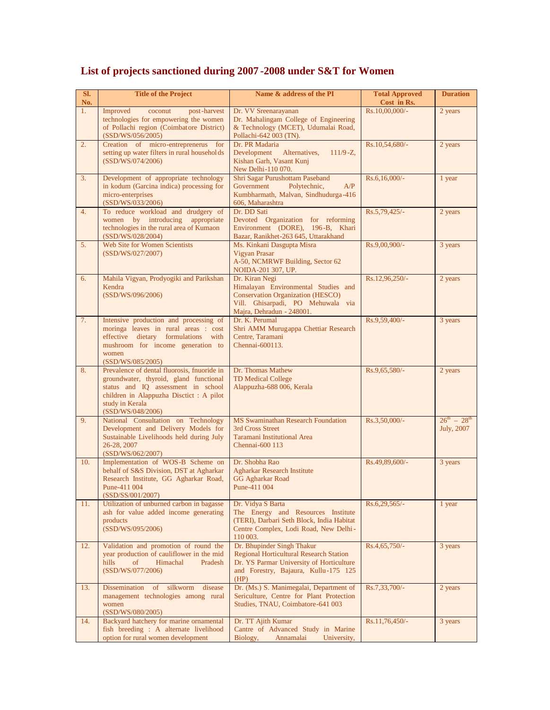| SI.<br>No. | <b>Title of the Project</b>                                                                                                                                                                                     | Name & address of the PI                                                                                                                                                 | <b>Total Approved</b><br>Cost in Rs. | <b>Duration</b>                   |
|------------|-----------------------------------------------------------------------------------------------------------------------------------------------------------------------------------------------------------------|--------------------------------------------------------------------------------------------------------------------------------------------------------------------------|--------------------------------------|-----------------------------------|
| 1.         | Improved<br>coconut<br>post-harvest<br>technologies for empowering the women<br>of Pollachi region (Coimbatore District)<br>(SSD/WS/056/2005)                                                                   | Dr. VV Sreenarayanan<br>Dr. Mahalingam College of Engineering<br>& Technology (MCET), Udumalai Road,<br>Pollachi-642 003 (TN).                                           | Rs.10,00,000/-                       | 2 years                           |
| 2.         | Creation of micro-entreprenerus for<br>setting up water filters in rural households<br>(SSD/WS/074/2006)                                                                                                        | Dr. PR Madaria<br>Development<br>$111/9 - Z$ ,<br>Alternatives,<br>Kishan Garh, Vasant Kunj<br>New Delhi-110 070.                                                        | Rs.10,54,680/-                       | 2 years                           |
| 3.         | Development of appropriate technology<br>in kodum (Garcina indica) processing for<br>micro-enterprises<br>(SSD/WS/033/2006)                                                                                     | Shri Sagar Purushottam Paseband<br>Government<br>Polytechnic,<br>A/P<br>Kumbharmath, Malvan, Sindhudurga-416<br>606, Maharashtra                                         | Rs.6,16,000/-                        | 1 year                            |
| 4.         | To reduce workload and drudgery of<br>women by introducing appropriate<br>technologies in the rural area of Kumaon<br>(SSD/WS/028/2004)                                                                         | Dr. DD Sati<br>Devoted Organization for reforming<br>Environment (DORE), 196-B, Khari<br>Bazar, Ranikhet-263 645, Uttarakhand                                            | Rs.5,79,425/-                        | 2 years                           |
| 5.         | Web Site for Women Scientists<br>(SSD/WS/027/2007)                                                                                                                                                              | Ms. Kinkani Dasgupta Misra<br>Vigyan Prasar<br>A-50, NCMRWF Building, Sector 62<br>NOIDA-201 307, UP.                                                                    | Rs.9,00,900/-                        | 3 years                           |
| 6.         | Mahila Vigyan, Prodyogiki and Parikshan<br>Kendra<br>(SSD/WS/096/2006)                                                                                                                                          | Dr. Kiran Negi<br>Himalayan Environmental Studies and<br><b>Conservation Organization (HESCO)</b><br>Vill. Ghisarpadi, PO Mehuwala via<br>Majra, Dehradun - 248001.      | Rs.12,96,250/-                       | 2 years                           |
| 7.         | Intensive production and processing of<br>moringa leaves in rural areas : cost<br>effective dietary formulations with<br>mushroom for income generation to<br>women<br>(SSD/WS/085/2005)                        | Dr. K. Perumal<br>Shri AMM Murugappa Chettiar Research<br>Centre, Taramani<br>Chennai-600113.                                                                            | Rs.9,59,400/-                        | 3 years                           |
| 8.         | Prevalence of dental fluorosis, fnuoride in<br>groundwater, thyroid, gland functional<br>status and IQ assessment in school<br>children in Alappuzha Disctict : A pilot<br>study in Kerala<br>(SSD/WS/048/2006) | Dr. Thomas Mathew<br><b>TD Medical College</b><br>Alappuzha-688 006, Kerala                                                                                              | Rs.9,65,580/-                        | 2 years                           |
| 9.         | National Consultation on Technology<br>Development and Delivery Models for<br>Sustainable Livelihoods held during July<br>26-28, 2007<br>(SSD/WS/062/2007)                                                      | <b>MS Swaminathan Research Foundation</b><br>3rd Cross Street<br>Taramani Institutional Area<br>Chennai-600 113                                                          | Rs.3,50,000/-                        | $26^{th} - 28^{th}$<br>July, 2007 |
| 10.        | Implementation of WOS-B Scheme on<br>behalf of S&S Division, DST at Agharkar<br>Research Institute, GG Agharkar Road,<br>Pune-411 004<br>(SSD/SS/001/2007)                                                      | Dr. Shobha Rao<br><b>Agharkar Research Institute</b><br><b>GG Agharkar Road</b><br>Pune-411 004                                                                          | Rs.49,89,600/-                       | 3 years                           |
| 11.        | Utilization of unburned carbon in bagasse<br>ash for value added income generating<br>products<br>(SSD/WS/095/2006)                                                                                             | Dr. Vidya S Barta<br>The Energy and Resources Institute<br>(TERI), Darbari Seth Block, India Habitat<br>Centre Complex, Lodi Road, New Delhi-<br>110 003.                | Rs.6,29,565/-                        | 1 year                            |
| 12.        | Validation and promotion of round the<br>year production of cauliflower in the mid<br>Pradesh<br>hills<br>of<br>Himachal<br>(SSD/WS/077/2006)                                                                   | Dr. Bhupinder Singh Thakur<br><b>Regional Horticultural Research Station</b><br>Dr. YS Parmar University of Horticulture<br>and Forestry, Bajaura, Kullu-175 125<br>(HP) | Rs.4,65,750/-                        | 3 years                           |
| 13.        | Dissemination of silkworm disease<br>management technologies among rural<br>women<br>(SSD/WS/080/2005)                                                                                                          | Dr. (Ms.) S. Manimegalai, Department of<br>Sericulture, Centre for Plant Protection<br>Studies, TNAU, Coimbatore-641 003                                                 | Rs.7,33,700/-                        | 2 years                           |
| 14.        | Backyard hatchery for marine ornamental<br>fish breeding : A alternate livelihood<br>option for rural women development                                                                                         | Dr. TT Ajith Kumar<br>Cantre of Advanced Study in Marine<br>Biology,<br>Annamalai<br>University,                                                                         | Rs.11,76,450/-                       | 3 years                           |

## **List of projects sanctioned during 2007 -2008 under S&T for Women**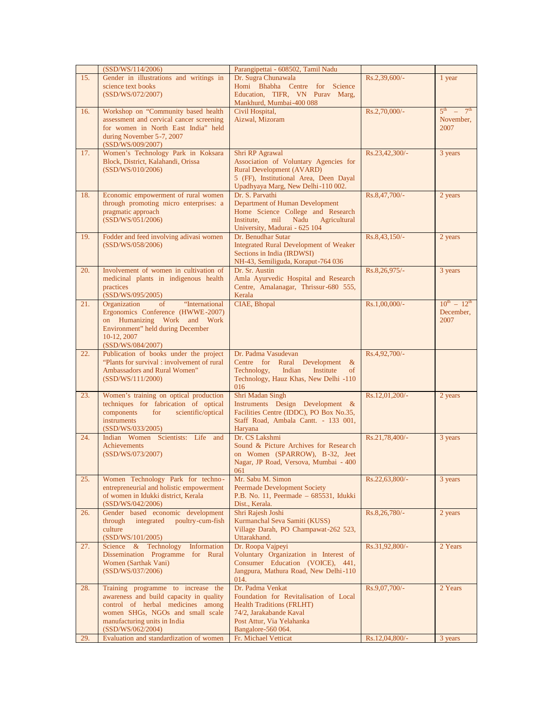|     | (SSD/WS/114/2006)                                                                                                                                                                                           | Parangipettai - 608502, Tamil Nadu                                                                                                                                           |                |                                                             |
|-----|-------------------------------------------------------------------------------------------------------------------------------------------------------------------------------------------------------------|------------------------------------------------------------------------------------------------------------------------------------------------------------------------------|----------------|-------------------------------------------------------------|
| 15. | Gender in illustrations and writings in<br>science text books<br>(SSD/WS/072/2007)                                                                                                                          | Dr. Sugra Chunawala<br>Homi Bhabha Centre for Science<br>Education, TIFR, VN Purav Marg,<br>Mankhurd, Mumbai-400 088                                                         | Rs.2,39,600/-  | 1 year                                                      |
| 16. | Workshop on "Community based health<br>assessment and cervical cancer screening<br>for women in North East India" held<br>during November 5-7, 2007<br>(SSD/WS/009/2007)                                    | Civil Hospital,<br>Aizwal, Mizoram                                                                                                                                           | Rs.2,70,000/-  | $5^{\text{th}}$ $-$<br>7 <sup>th</sup><br>November,<br>2007 |
| 17. | Women's Technology Park in Koksara<br>Block, District, Kalahandi, Orissa<br>(SSD/WS/010/2006)                                                                                                               | Shri RP Agrawal<br>Association of Voluntary Agencies for<br><b>Rural Development (AVARD)</b><br>5 (FF), Institutional Area, Deen Dayal<br>Upadhyaya Marg, New Delhi-110 002. | Rs.23,42,300/- | 3 years                                                     |
| 18. | Economic empowerment of rural women<br>through promoting micro enterprises: a<br>pragmatic approach<br>(SSD/WS/051/2006)                                                                                    | Dr. S. Parvathi<br>Department of Human Development<br>Home Science College and Research<br>Nadu<br>Institute,<br>mil<br>Agricultural<br>University, Madurai - 625 104        | Rs.8,47,700/-  | 2 years                                                     |
| 19. | Fodder and feed involving adivasi women<br>(SSD/WS/058/2006)                                                                                                                                                | Dr. Benudhar Sutar<br><b>Integrated Rural Development of Weaker</b><br>Sections in India (IRDWSI)<br>NH-43, Semiliguda, Koraput-764 036                                      | Rs.8,43,150/-  | 2 years                                                     |
| 20. | Involvement of women in cultivation of<br>medicinal plants in indigenous health<br>practices<br>(SSD/WS/095/2005)                                                                                           | Dr. Sr. Austin<br>Amla Ayurvedic Hospital and Research<br>Centre, Amalanagar, Thrissur-680 555,<br>Kerala                                                                    | Rs.8,26,975/-  | 3 years                                                     |
| 21. | Organization<br>"International<br>of<br>Ergonomics Conference (HWWE-2007)<br>on Humanizing Work and Work<br>Environment" held during December<br>10-12, 2007<br>(SSD/WS/084/2007)                           | CIAE, Bhopal                                                                                                                                                                 | Rs.1,00,000/-  | $10^{th} - 12^{th}$<br>December,<br>2007                    |
| 22. | Publication of books under the project<br>"Plants for survival: involvement of rural"<br>Ambassadors and Rural Women"<br>(SSD/WS/111/2000)                                                                  | Dr. Padma Vasudevan<br>Centre for Rural Development<br>$\&$<br>Indian<br>Technology,<br>Institute<br>of<br>Technology, Hauz Khas, New Delhi -110<br>016                      | Rs.4,92,700/-  |                                                             |
| 23. | Women's training on optical production<br>techniques for fabrication of optical<br>components<br>scientific/optical<br>for<br><i>instruments</i><br>(SSD/WS/033/2005)                                       | Shri Madan Singh<br>Instruments Design Development &<br>Facilities Centre (IDDC), PO Box No.35,<br>Staff Road, Ambala Cantt. - 133 001,<br>Haryana                           | Rs.12,01,200/- | 2 years                                                     |
| 24. | Indian Women Scientists: Life and<br><b>Achievements</b><br>(SSD/WS/073/2007)                                                                                                                               | Dr. CS Lakshmi<br>Sound & Picture Archives for Research<br>on Women (SPARROW), B-32, Jeet<br>Nagar, JP Road, Versova, Mumbai - 400<br>061                                    | Rs.21,78,400/- | 3 years                                                     |
| 25. | Women Technology Park for techno-<br>entrepreneurial and holistic empowerment<br>of women in Idukki district, Kerala<br>(SSD/WS/042/2006)                                                                   | Mr. Sabu M. Simon<br><b>Peermade Development Society</b><br>P.B. No. 11, Peermade - 685531, Idukki<br>Dist., Kerala.                                                         | Rs.22,63,800/- | 3 years                                                     |
| 26. | Gender based economic development<br>integrated<br>poultry-cum-fish<br>through<br>culture<br>(SSD/WS/101/2005)                                                                                              | Shri Rajesh Joshi<br>Kurmanchal Seva Samiti (KUSS)<br>Village Darah, PO Champawat-262 523,<br>Uttarakhand.                                                                   | Rs.8,26,780/-  | 2 years                                                     |
| 27. | Science & Technology<br>Information<br>Dissemination Programme for Rural<br>Women (Sarthak Vani)<br>(SSD/WS/037/2006)                                                                                       | Dr. Roopa Vajpeyi<br>Voluntary Organization in Interest of<br>Consumer Education (VOICE), 441,<br>Jangpura, Mathura Road, New Delhi-110<br>014.                              | Rs.31,92,800/- | 2 Years                                                     |
| 28. | Training programme to increase the<br>awareness and build capacity in quality<br>control of herbal medicines among<br>women SHGs, NGOs and small scale<br>manufacturing units in India<br>(SSD/WS/062/2004) | Dr. Padma Venkat<br>Foundation for Revitalisation of Local<br><b>Health Traditions (FRLHT)</b><br>74/2, Jarakabande Kaval<br>Post Attur, Via Yelahanka<br>Bangalore-560 064. | Rs.9,07,700/-  | 2 Years                                                     |
| 29. | Evaluation and standardization of women                                                                                                                                                                     | Fr. Michael Vetticat                                                                                                                                                         | Rs.12,04,800/- | 3 years                                                     |